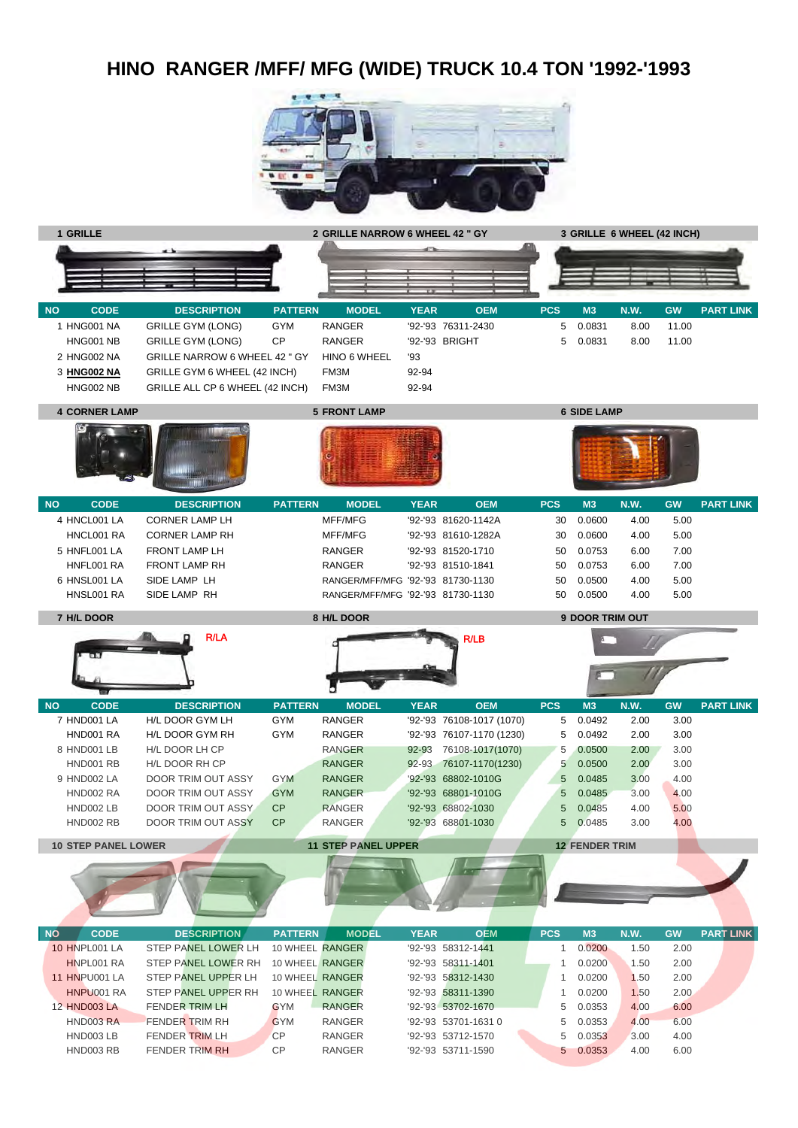# **HINO RANGER /MFF/ MFG (WIDE) TRUCK 10.4 TON '1992-'1993**



| 1 GRILLE                        |                                                                 | 2 GRILLE NARROW 6 WHEEL 42 " GY |                                                    | 3 GRILLE 6 WHEEL (42 INCH) |                                            |              |                        |              |              |                  |
|---------------------------------|-----------------------------------------------------------------|---------------------------------|----------------------------------------------------|----------------------------|--------------------------------------------|--------------|------------------------|--------------|--------------|------------------|
|                                 |                                                                 |                                 |                                                    |                            |                                            |              |                        |              |              |                  |
|                                 |                                                                 |                                 |                                                    |                            |                                            |              |                        |              |              |                  |
| <b>NO</b><br><b>CODE</b>        | <b>DESCRIPTION</b>                                              | <b>PATTERN</b>                  | <b>MODEL</b>                                       | <b>YEAR</b>                | <b>OEM</b>                                 | <b>PCS</b>   | <b>M3</b>              | N.W.         | <b>GW</b>    | <b>PART LINK</b> |
| 1 HNG001 NA                     | <b>GRILLE GYM (LONG)</b>                                        | GYM                             | <b>RANGER</b>                                      |                            | '92-'93 76311-2430                         | 5            | 0.0831                 | 8.00         | 11.00        |                  |
| HNG001 NB                       | <b>GRILLE GYM (LONG)</b>                                        | СP                              | <b>RANGER</b>                                      |                            | '92-'93 BRIGHT                             | 5            | 0.0831                 | 8.00         | 11.00        |                  |
| 2 HNG002 NA                     | GRILLE NARROW 6 WHEEL 42 " GY                                   |                                 | HINO 6 WHEEL                                       | '93                        |                                            |              |                        |              |              |                  |
| 3 HNG002 NA<br><b>HNG002 NB</b> | GRILLE GYM 6 WHEEL (42 INCH)<br>GRILLE ALL CP 6 WHEEL (42 INCH) |                                 | FM3M<br>FM3M                                       | 92-94<br>92-94             |                                            |              |                        |              |              |                  |
| <b>4 CORNER LAMP</b>            |                                                                 |                                 | <b>5 FRONT LAMP</b>                                |                            |                                            |              | <b>6 SIDE LAMP</b>     |              |              |                  |
|                                 |                                                                 |                                 |                                                    |                            |                                            |              |                        |              |              |                  |
|                                 |                                                                 |                                 |                                                    |                            |                                            |              |                        |              |              |                  |
|                                 |                                                                 |                                 |                                                    |                            |                                            |              |                        |              |              |                  |
|                                 |                                                                 |                                 |                                                    |                            |                                            |              |                        |              |              |                  |
| <b>CODE</b><br><b>NO</b>        | <b>DESCRIPTION</b>                                              | <b>PATTERN</b>                  | <b>MODEL</b>                                       | <b>YEAR</b>                | <b>OEM</b>                                 | <b>PCS</b>   | <b>M3</b>              | N.W.         | <b>GW</b>    | <b>PART LINK</b> |
| 4 HNCL001 LA                    | <b>CORNER LAMP LH</b>                                           |                                 | MFF/MFG                                            |                            | '92-'93 81620-1142A                        | 30           | 0.0600                 | 4.00         | 5.00         |                  |
| HNCL001 RA                      | <b>CORNER LAMP RH</b>                                           |                                 | MFF/MFG                                            |                            | '92-'93 81610-1282A                        | 30           | 0.0600                 | 4.00         | 5.00         |                  |
| 5 HNFL001 LA                    | <b>FRONT LAMP LH</b>                                            |                                 | <b>RANGER</b>                                      |                            | '92-'93 81520-1710                         | 50           | 0.0753                 | 6.00         | 7.00         |                  |
| HNFL001 RA<br>6 HNSL001 LA      | <b>FRONT LAMP RH</b><br>SIDE LAMP LH                            |                                 | <b>RANGER</b><br>RANGER/MFF/MFG '92-'93 81730-1130 |                            | '92-'93 81510-1841                         | 50<br>50     | 0.0753<br>0.0500       | 6.00<br>4.00 | 7.00<br>5.00 |                  |
| HNSL001 RA                      | SIDE LAMP RH                                                    |                                 | RANGER/MFF/MFG '92-'93 81730-1130                  |                            |                                            | 50           | 0.0500                 | 4.00         | 5.00         |                  |
| 7 H/L DOOR                      |                                                                 |                                 | 8 H/L DOOR                                         |                            |                                            |              | <b>9 DOOR TRIM OUT</b> |              |              |                  |
|                                 |                                                                 |                                 |                                                    |                            |                                            |              |                        |              |              |                  |
|                                 | <b>R/LA</b>                                                     |                                 |                                                    |                            | <b>R/LB</b>                                |              |                        |              |              |                  |
|                                 |                                                                 |                                 |                                                    |                            |                                            |              |                        |              |              |                  |
|                                 |                                                                 |                                 |                                                    |                            |                                            |              |                        |              |              |                  |
| <b>NO</b><br><b>CODE</b>        | <b>DESCRIPTION</b>                                              | <b>PATTERN</b>                  | <b>MODEL</b>                                       | <b>YEAR</b>                | <b>OEM</b>                                 | <b>PCS</b>   | M3                     | N.W.         | <b>GW</b>    | <b>PART LINK</b> |
| 7 HND001 LA                     | H/L DOOR GYM LH                                                 | <b>GYM</b>                      | <b>RANGER</b>                                      |                            | '92-'93 76108-1017 (1070)                  | 5            | 0.0492                 | 2.00         | 3.00         |                  |
| HND001 RA                       | H/L DOOR GYM RH                                                 | GYM                             | <b>RANGER</b>                                      |                            | '92-'93 76107-1170 (1230)                  | 5            | 0.0492                 | 2.00         | 3.00         |                  |
| 8 HND001 LB                     | H/L DOOR LH CP                                                  |                                 | <b>RANGER</b>                                      | 92-93                      | 76108-1017(1070)                           | 5            | 0.0500                 | 2.00         | 3.00         |                  |
| HND001 RB                       | H/L DOOR RH CP                                                  |                                 | <b>RANGER</b>                                      |                            | 92-93 76107-1170(1230)                     | 5            | 0.0500                 | 2.00         | 3.00         |                  |
| 9 HND002 LA<br>HND002 RA        | DOOR TRIM OUT ASSY<br><b>DOOR TRIM OUT ASSY</b>                 | <b>GYM</b><br><b>GYM</b>        | <b>RANGER</b><br><b>RANGER</b>                     |                            | '92-'93 68802-1010G<br>'92-'93 68801-1010G | 5<br>5       | 0.0485<br>0.0485       | 3.00<br>3.00 | 4.00<br>4.00 |                  |
| HND002 LB                       | <b>DOOR TRIM OUT ASSY</b>                                       | <b>CP</b>                       | <b>RANGER</b>                                      |                            | '92-'93 68802-1030                         | 5            | 0.0485                 | 4.00         | 5.00         |                  |
| HND002 RB                       | <b>DOOR TRIM OUT ASSY</b>                                       | СP                              | RANGER                                             |                            | '92-'93 68801-1030                         |              | 5 0.0485               | 3.00         | 4.00         |                  |
| <b>10 STEP PANEL LOWER</b>      |                                                                 |                                 | <b>11 STEP PANEL UPPER</b>                         |                            |                                            |              | <b>12 FENDER TRIM</b>  |              |              |                  |
|                                 |                                                                 |                                 |                                                    |                            |                                            |              |                        |              |              |                  |
|                                 |                                                                 |                                 |                                                    |                            |                                            |              |                        |              |              |                  |
|                                 |                                                                 |                                 |                                                    |                            |                                            |              |                        |              |              |                  |
|                                 |                                                                 |                                 |                                                    |                            |                                            |              |                        |              |              |                  |
|                                 |                                                                 |                                 |                                                    |                            |                                            |              |                        |              |              |                  |
| <b>CODE</b><br><b>NO</b>        | <b>DESCRIPTION</b>                                              | <b>PATTERN</b>                  | <b>MODEL</b>                                       | <b>YEAR</b>                | <b>OEM</b>                                 | <b>PCS</b>   | M3                     | <b>N.W.</b>  | <b>GW</b>    | <b>PART LINK</b> |
| 10 HNPL001 LA                   | STEP PANEL LOWER LH                                             | 10 WHEEL RANGER                 |                                                    |                            | '92-'93 58312-1441                         | $\mathbf{1}$ | 0.0200                 | 1.50         | 2.00         |                  |
| HNPL001 RA                      | STEP PANEL LOWER RH                                             | 10 WHEEL RANGER                 |                                                    |                            | '92-'93 58311-1401                         | $\mathbf{1}$ | 0.0200                 | 1.50         | 2.00         |                  |
| <b>11 HNPU001 LA</b>            | STEP PANEL UPPER LH                                             | 10 WHEEL RANGER                 |                                                    |                            | '92-'93 58312-1430                         | $\mathbf{1}$ | 0.0200                 | 1.50         | 2.00         |                  |
| HNPU001 RA                      | STEP PANEL UPPER RH                                             | 10 WHEEL RANGER                 |                                                    |                            | '92-'93 58311-1390                         | 1            | 0.0200                 | 1.50         | 2.00         |                  |
| 12 HND003 LA<br>HND003 RA       | <b>FENDER TRIM LH</b><br><b>FENDER TRIM RH</b>                  | <b>GYM</b><br><b>GYM</b>        | <b>RANGER</b>                                      |                            | '92-'93 53702-1670                         | 5            | 0.0353<br>0.0353       | 4.00         | 6.00         |                  |
| HND003 LB                       | <b>FENDER TRIM LH</b>                                           | <b>CP</b>                       | <b>RANGER</b><br>RANGER                            |                            | '92-'93 53701-1631 0<br>'92-'93 53712-1570 | 5<br>5       | 0.0353                 | 4.00<br>3.00 | 6.00<br>4.00 |                  |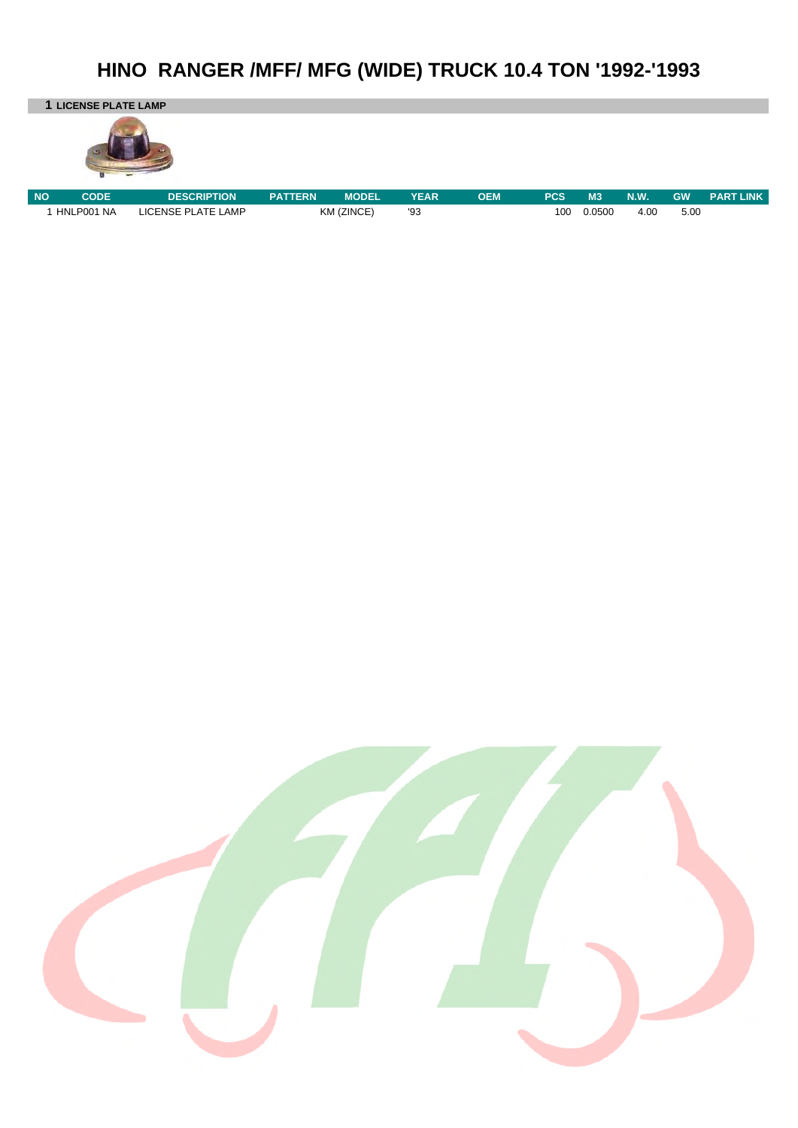## **HINO RANGER /MFF/ MFG (WIDE) TRUCK 10.4 TON '1992-'1993**

**1 LICENSE PLATE LAMP**



| <b>NO</b> | CODE       | <b>DESCRIPTION</b> | <b>PATTERN</b> | <b>MODEL</b> | <b>YEAR</b> | <b>OEM</b> | <b>PCS</b> | M <sub>3</sub> | N.W. | <b>GW</b> | <b>PART LINK</b> |
|-----------|------------|--------------------|----------------|--------------|-------------|------------|------------|----------------|------|-----------|------------------|
|           | HNLP001 NA | LICENSE PLATE LAMP |                | KM (ZINCE)   | '93         |            | 100        | 0.0500         | 4.00 | 5.00      |                  |

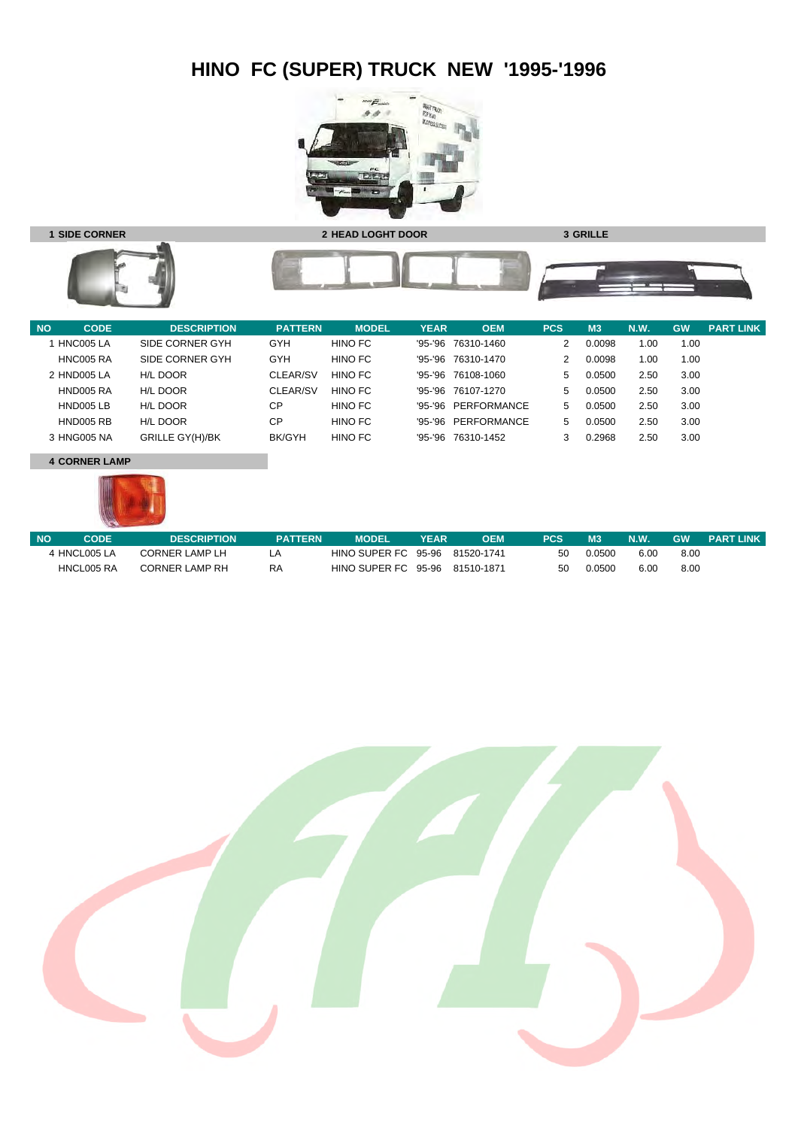# **HINO FC (SUPER) TRUCK NEW '1995-'1996**





**1 SIDE CORNER 2 HEAD LOGHT DOOR 3 GRILLE**



| <b>NO</b> | <b>CODE</b> | <b>DESCRIPTION</b>     | <b>PATTERN</b> | <b>MODEL</b> | <b>YEAR</b> | <b>OEM</b>          | <b>PCS</b> | M <sub>3</sub> | <b>N.W.</b> | <b>GW</b> | <b>PART LINK</b> |
|-----------|-------------|------------------------|----------------|--------------|-------------|---------------------|------------|----------------|-------------|-----------|------------------|
|           | HNC005 LA   | SIDE CORNER GYH        | <b>GYH</b>     | HINO FC      |             | '95-'96 76310-1460  | 2          | 0.0098         | 1.00        | 1.00      |                  |
|           | HNC005 RA   | SIDE CORNER GYH        | <b>GYH</b>     | HINO FC      |             | '95-'96 76310-1470  |            | 0.0098         | 1.00        | 1.00      |                  |
|           | 2 HND005 LA | H/L DOOR               | CLEAR/SV       | HINO FC      |             | '95-'96 76108-1060  | 5          | 0.0500         | 2.50        | 3.00      |                  |
|           | HND005 RA   | H/L DOOR               | CLEAR/SV       | HINO FC      |             | '95-'96 76107-1270  | 5          | 0.0500         | 2.50        | 3.00      |                  |
|           | HND005 LB   | H/L DOOR               | СP             | HINO FC      |             | '95-'96 PERFORMANCE | 5          | 0.0500         | 2.50        | 3.00      |                  |
|           | HND005 RB   | H/L DOOR               | CP             | HINO FC      |             | '95-'96 PERFORMANCE | 5          | 0.0500         | 2.50        | 3.00      |                  |
|           | 3 HNG005 NA | <b>GRILLE GY(H)/BK</b> | BK/GYH         | HINO FC      |             | '95-'96 76310-1452  | 3          | 0.2968         | 2.50        | 3.00      |                  |

#### **4 CORNER LAMP**



| <b>NO</b> | <b>CODE</b> | <b>DESCRIPTION</b>    | <b>PATTERN</b> | <b>MODEL</b>                   | <b>YEAR</b> | ОЕМ | <b>PCS</b> | MЗ     | N.W. | <b>GW</b> | <b>NPART LINK 1</b> |
|-----------|-------------|-----------------------|----------------|--------------------------------|-------------|-----|------------|--------|------|-----------|---------------------|
|           | HNCL005 LA  | CORNER LAMP LH        |                | HINO SUPER FC 95-96 81520-1741 |             |     | -50        | 0.0500 | 6.00 | 8.00      |                     |
|           | HNCL005 RA  | <b>CORNER LAMP RH</b> | RA             | HINO SUPER FC 95-96 81510-1871 |             |     | 50         | 0.0500 | 6.00 | 8.00      |                     |

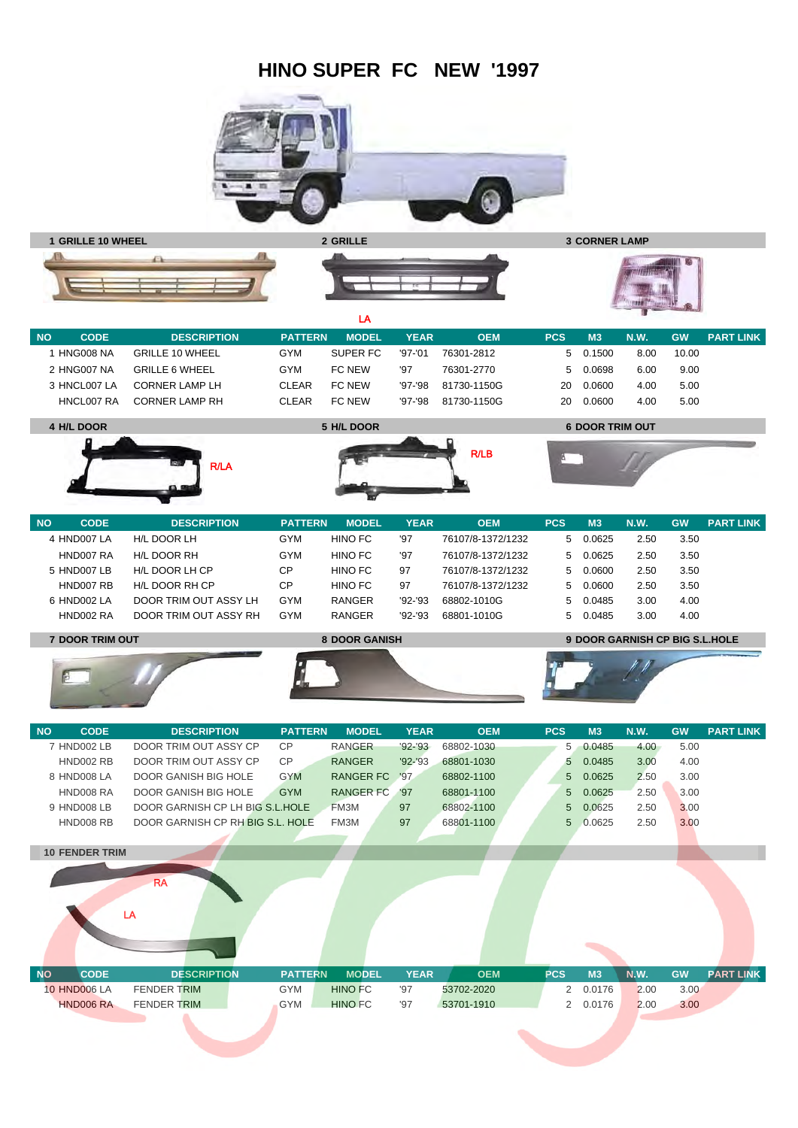### **HINO SUPER FC NEW '1997**





|                          |                        |                | and the contract of the contract of the contract of the contract of the contract of |             |             |            |                |             |           |                  |
|--------------------------|------------------------|----------------|-------------------------------------------------------------------------------------|-------------|-------------|------------|----------------|-------------|-----------|------------------|
| <b>NO</b><br><b>CODE</b> | <b>DESCRIPTION</b>     | <b>PATTERN</b> | <b>MODEL</b>                                                                        | <b>YEAR</b> | <b>OEM</b>  | <b>PCS</b> | M <sub>3</sub> | <b>N.W.</b> | <b>GW</b> | <b>PART LINK</b> |
| HNG008 NA                | <b>GRILLE 10 WHEEL</b> | <b>GYM</b>     | SUPER FC                                                                            | '97-'01     | 76301-2812  |            | 5 0.1500       | 8.00        | 10.00     |                  |
| 2 HNG007 NA              | <b>GRILLE 6 WHEEL</b>  | <b>GYM</b>     | FC NEW                                                                              | '97         | 76301-2770  |            | 5 0.0698       | 6.00        | 9.00      |                  |
| 3 HNCL007 LA             | <b>CORNER LAMP LH</b>  | <b>CLEAR</b>   | FC NEW                                                                              | '97-'98     | 81730-1150G | 20         | 0.0600         | 4.00        | 5.00      |                  |
| HNCL007 RA               | CORNER LAMP RH         | <b>CLEAR</b>   | FC NEW                                                                              | '97-'98     | 81730-1150G | 20         | 0.0600         | 4.00        | 5.00      |                  |









| <b>NO</b> | <b>CODE</b> | <b>DESCRIPTION</b>    | <b>PATTERN</b> | <b>MODEL</b>  | <b>YEAR</b> | <b>OEM</b>        | <b>PCS</b> | MЗ       | N.W. | <b>GW</b> | <b>PART LINK</b> |
|-----------|-------------|-----------------------|----------------|---------------|-------------|-------------------|------------|----------|------|-----------|------------------|
|           | 4 HND007 LA | H/L DOOR LH           | <b>GYM</b>     | HINO FC       | '97         | 76107/8-1372/1232 |            | 5 0.0625 | 2.50 | 3.50      |                  |
|           | HND007 RA   | H/L DOOR RH           | <b>GYM</b>     | HINO FC       | '97         | 76107/8-1372/1232 |            | 5 0.0625 | 2.50 | 3.50      |                  |
|           | 5 HND007 LB | H/L DOOR LH CP        | СP             | HINO FC       | 97          | 76107/8-1372/1232 |            | 5 0.0600 | 2.50 | 3.50      |                  |
|           | HND007 RB   | H/L DOOR RH CP        | СP             | HINO FC       | 97          | 76107/8-1372/1232 |            | 5 0.0600 | 2.50 | 3.50      |                  |
|           | 6 HND002 LA | DOOR TRIM OUT ASSY LH | <b>GYM</b>     | <b>RANGER</b> | $'92 -'93$  | 68802-1010G       |            | 5 0.0485 | 3.00 | 4.00      |                  |
|           | HND002 RA   | DOOR TRIM OUT ASSY RH | <b>GYM</b>     | <b>RANGER</b> | $'92 - 93$  | 68801-1010G       |            | 5 0.0485 | 3.00 | 4.00      |                  |
|           |             |                       |                |               |             |                   |            |          |      |           |                  |

**7 DOOR TRIM OUT 8 DOOR GANISH 9 DOOR GARNISH CP BIG S.L.HOLE**



| <b>NO</b> | <b>CODE</b>           | <b>DESCRIPTION</b>               | <b>PATTERN</b> | <b>MODEL</b>     | <b>YEAR</b> | <b>OEM</b> | <b>PCS</b> | M3                       | <b>N.W.</b> | <b>GW</b> | <b>PART LINK</b> |
|-----------|-----------------------|----------------------------------|----------------|------------------|-------------|------------|------------|--------------------------|-------------|-----------|------------------|
|           | 7 HND002 LB           | DOOR TRIM OUT ASSY CP            | <b>CP</b>      | <b>RANGER</b>    | $92 - 93$   | 68802-1030 |            | 5<br>0.0485              | 4.00        | 5.00      |                  |
|           | HND002 RB             | DOOR TRIM OUT ASSY CP            | <b>CP</b>      | <b>RANGER</b>    | $'92 - '93$ | 68801-1030 |            | 0.0485<br>5              | 3.00        | 4.00      |                  |
|           | 8 HND008 LA           | <b>DOOR GANISH BIG HOLE</b>      | <b>GYM</b>     | <b>RANGER FC</b> | '97         | 68802-1100 |            | 0.0625<br>5              | 2.50        | 3.00      |                  |
|           | HND008 RA             | DOOR GANISH BIG HOLE             | <b>GYM</b>     | <b>RANGER FC</b> | '97         | 68801-1100 |            | 5<br>0.0625              | 2.50        | 3.00      |                  |
|           | 9 HND008 LB           | DOOR GARNISH CP LH BIG S.L.HOLE  |                | FM3M             | 97          | 68802-1100 |            | 5<br>0.0625              | 2.50        | 3.00      |                  |
|           | HND008 RB             | DOOR GARNISH CP RH BIG S.L. HOLE |                | FM3M             | 97          | 68801-1100 |            | 5<br>0.0625              | 2.50        | 3.00      |                  |
|           |                       |                                  |                |                  |             |            |            |                          |             |           |                  |
|           | <b>10 FENDER TRIM</b> |                                  |                |                  |             |            |            |                          |             |           |                  |
|           |                       | <b>RA</b><br>LA                  |                |                  |             |            |            |                          |             |           |                  |
| <b>NO</b> | <b>CODE</b>           | <b>DESCRIPTION</b>               | <b>PATTERN</b> | <b>MODEL</b>     | <b>YEAR</b> | <b>OEM</b> | <b>PCS</b> | M <sub>3</sub>           | <b>N.W.</b> | <b>GW</b> | <b>PART LINK</b> |
|           | <b>10 HND006 LA</b>   | <b>FENDER TRIM</b>               | <b>GYM</b>     | <b>HINO FC</b>   | '97         | 53702-2020 |            | 0.0176<br>2              | 2.00        | 3.00      |                  |
|           | HND006 RA             | <b>FENDER TRIM</b>               | <b>GYM</b>     | <b>HINO FC</b>   | '97         | 53701-1910 |            | 0.0176<br>$\overline{2}$ | 2.00        | 3.00      |                  |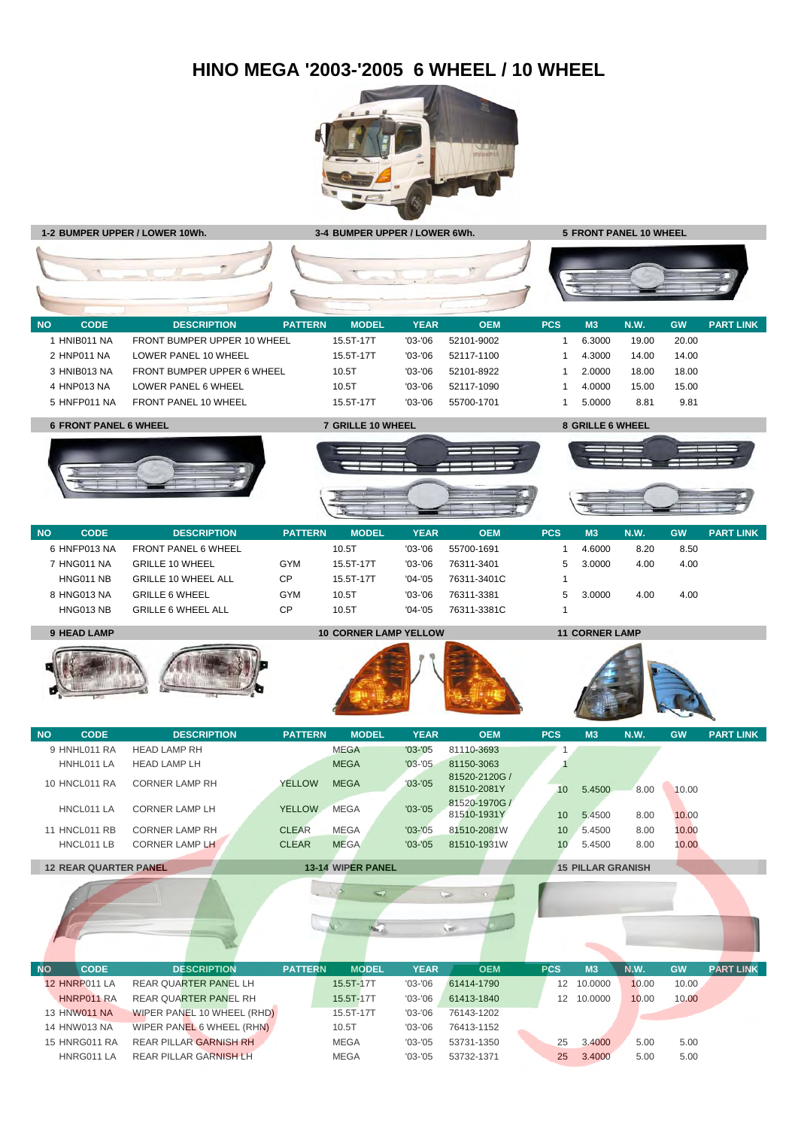### **HINO MEGA '2003-'2005 6 WHEEL / 10 WHEEL**



| 1-2 BUMPER UPPER / LOWER 10Wh. |                                                         |                | 3-4 BUMPER UPPER / LOWER 6Wh. |                            |                                      |              |                          | <b>5 FRONT PANEL 10 WHEEL</b> |           |                  |
|--------------------------------|---------------------------------------------------------|----------------|-------------------------------|----------------------------|--------------------------------------|--------------|--------------------------|-------------------------------|-----------|------------------|
|                                |                                                         |                |                               |                            |                                      |              |                          |                               |           |                  |
|                                |                                                         |                |                               |                            |                                      |              |                          |                               |           |                  |
|                                |                                                         |                |                               |                            |                                      |              |                          |                               |           |                  |
|                                |                                                         |                |                               |                            |                                      |              |                          |                               |           |                  |
| <b>NO</b><br><b>CODE</b>       | <b>DESCRIPTION</b>                                      | <b>PATTERN</b> | <b>MODEL</b>                  | <b>YEAR</b>                | <b>OEM</b>                           | <b>PCS</b>   | M3                       | <b>N.W.</b>                   | <b>GW</b> | <b>PART LINK</b> |
| 1 HNIB011 NA                   | FRONT BUMPER UPPER 10 WHEEL                             |                | 15.5T-17T                     | $'03-'06$                  | 52101-9002                           | 1            | 6.3000                   | 19.00                         | 20.00     |                  |
| 2 HNP011 NA                    | LOWER PANEL 10 WHEEL                                    |                | 15.5T-17T                     | $'03-'06$                  | 52117-1100                           | $\mathbf{1}$ | 4.3000                   | 14.00                         | 14.00     |                  |
| 3 HNIB013 NA                   | FRONT BUMPER UPPER 6 WHEEL                              |                | 10.5T                         | $'03-'06$                  | 52101-8922                           | $\mathbf{1}$ | 2.0000                   | 18.00                         | 18.00     |                  |
| 4 HNP013 NA                    | LOWER PANEL 6 WHEEL                                     |                | 10.5T                         | $'03 - '06$                | 52117-1090                           | $\mathbf{1}$ | 4.0000                   | 15.00                         | 15.00     |                  |
| 5 HNFP011 NA                   | FRONT PANEL 10 WHEEL                                    |                | 15.5T-17T                     | $'03-'06$                  | 55700-1701                           | 1            | 5.0000                   | 8.81                          | 9.81      |                  |
| <b>6 FRONT PANEL 6 WHEEL</b>   |                                                         |                | 7 GRILLE 10 WHEEL             |                            |                                      |              | 8 GRILLE 6 WHEEL         |                               |           |                  |
|                                |                                                         |                |                               |                            |                                      |              |                          |                               |           |                  |
|                                |                                                         |                |                               |                            |                                      |              |                          |                               |           |                  |
|                                |                                                         |                |                               |                            |                                      |              |                          |                               |           |                  |
|                                |                                                         |                |                               |                            |                                      |              |                          |                               |           |                  |
|                                |                                                         |                |                               |                            |                                      |              |                          |                               |           |                  |
| <b>NO</b><br><b>CODE</b>       | <b>DESCRIPTION</b>                                      | <b>PATTERN</b> | <b>MODEL</b>                  | <b>YEAR</b>                | <b>OEM</b>                           | <b>PCS</b>   | <b>M3</b>                | <b>N.W.</b>                   | <b>GW</b> | <b>PART LINK</b> |
| 6 HNFP013 NA                   | FRONT PANEL 6 WHEEL                                     |                | 10.5T                         | $'03-'06$                  | 55700-1691                           | 1            | 4.6000                   | 8.20                          | 8.50      |                  |
| 7 HNG011 NA                    | <b>GRILLE 10 WHEEL</b>                                  | <b>GYM</b>     | 15.5T-17T                     | $'03-'06$                  | 76311-3401                           | 5            | 3.0000                   | 4.00                          | 4.00      |                  |
| HNG011 NB                      | <b>GRILLE 10 WHEEL ALL</b>                              | <b>CP</b>      | 15.5T-17T                     | $'04 - '05$                | 76311-3401C                          | 1            |                          |                               |           |                  |
| 8 HNG013 NA                    | <b>GRILLE 6 WHEEL</b>                                   | GYM            | 10.5T                         | $'03-'06$                  | 76311-3381                           | 5            | 3.0000                   | 4.00                          | 4.00      |                  |
| HNG013 NB                      | <b>GRILLE 6 WHEEL ALL</b>                               | СP             | 10.5T                         | $'04 - '05$                | 76311-3381C                          | 1            |                          |                               |           |                  |
| <b>9 HEAD LAMP</b>             |                                                         |                | <b>10 CORNER LAMP YELLOW</b>  |                            |                                      |              | <b>11 CORNER LAMP</b>    |                               |           |                  |
|                                |                                                         |                |                               |                            |                                      |              |                          |                               |           |                  |
|                                |                                                         |                |                               |                            |                                      |              |                          |                               |           |                  |
|                                |                                                         |                |                               |                            |                                      |              |                          |                               |           |                  |
|                                |                                                         |                |                               |                            |                                      |              |                          |                               |           |                  |
|                                |                                                         |                |                               |                            |                                      |              |                          |                               |           |                  |
| <b>NO</b><br><b>CODE</b>       | <b>DESCRIPTION</b>                                      | <b>PATTERN</b> | <b>MODEL</b>                  | <b>YEAR</b>                | <b>OEM</b>                           | <b>PCS</b>   | M3                       | <b>N.W.</b>                   | <b>GW</b> | <b>PART LINK</b> |
| 9 HNHL011 RA                   | <b>HEAD LAMP RH</b>                                     |                | <b>MEGA</b>                   | $'03 - '05$                | 81110-3693                           | -1           |                          |                               |           |                  |
| HNHL011 LA                     | <b>HEAD LAMP LH</b>                                     |                | <b>MEGA</b>                   | $'03 - '05$                | 81150-3063                           |              |                          |                               |           |                  |
| 10 HNCL011 RA                  | <b>CORNER LAMP RH</b>                                   | <b>YELLOW</b>  | <b>MEGA</b>                   | $'03 - '05$                | 81520-2120G/<br>81510-2081Y          | 10           | 5.4500                   | 8.00                          | 10.00     |                  |
|                                |                                                         |                |                               |                            | 81520-1970G /                        |              |                          |                               |           |                  |
| HNCL011 LA                     | <b>CORNER LAMP LH</b>                                   | YELLOW         | <b>MEGA</b>                   | $'03 - '05$                | 81510-1931Y                          | 10           | 5.4500                   | 8.00                          | 10.00     |                  |
| 11 HNCL011 RB                  | <b>CORNER LAMP RH</b>                                   | <b>CLEAR</b>   | <b>MEGA</b>                   | $'03 - '05$                | 81510-2081W                          | 10           | 5.4500                   | 8.00                          | 10.00     |                  |
| HNCL011 LB                     | <b>CORNER LAMP LH</b>                                   | <b>CLEAR</b>   | <b>MEGA</b>                   | $'03-'05$                  | 81510-1931W                          | 10           | 5.4500                   | 8.00                          | 10.00     |                  |
| <b>12 REAR QUARTER PANEL</b>   |                                                         |                | 13-14 WIPER PANEL             |                            |                                      |              | <b>15 PILLAR GRANISH</b> |                               |           |                  |
|                                |                                                         |                | $\circ$<br>$\sum$             |                            | $\sum_{i=1}^n a_i$<br>$\overline{O}$ |              |                          |                               |           |                  |
|                                |                                                         |                |                               |                            |                                      |              |                          |                               |           |                  |
|                                |                                                         |                | $\frac{1}{2}$                 |                            | œ                                    |              |                          |                               |           |                  |
|                                |                                                         |                |                               |                            |                                      |              |                          |                               |           |                  |
|                                |                                                         |                |                               |                            |                                      |              |                          |                               |           |                  |
| <b>NO</b><br><b>CODE</b>       | <b>DESCRIPTION</b>                                      | <b>PATTERN</b> | <b>MODEL</b>                  | <b>YEAR</b>                | <b>OEM</b>                           | <b>PCS</b>   | M3                       | <b>N.W.</b>                   | <b>GW</b> | <b>PART LINK</b> |
| <b>12 HNRP011 LA</b>           | REAR QUARTER PANEL LH                                   |                | 15.5T-17T                     | $'03 - '06$                | 61414-1790                           |              | 12 10.0000               | 10.00                         | 10.00     |                  |
| HNRP011 RA                     | REAR QUARTER PANEL RH                                   |                | 15.5T-17T                     | $'03 - '06$                | 61413-1840                           |              | 12 10.0000               | 10.00                         | 10.00     |                  |
| 13 HNW011 NA<br>14 HNW013 NA   | WIPER PANEL 10 WHEEL (RHD)<br>WIPER PANEL 6 WHEEL (RHN) |                | 15.5T-17T<br>10.5T            | $'03 - '06$<br>$'03 - '06$ | 76143-1202<br>76413-1152             |              |                          |                               |           |                  |
| <b>15 HNRG011 RA</b>           | REAR PILLAR GARNISH RH                                  |                | <b>MEGA</b>                   | $'03-'05$                  | 53731-1350                           | 25           | 3.4000                   | 5.00                          | 5.00      |                  |
| HNRG011 LA                     | REAR PILLAR GARNISH LH                                  |                | <b>MEGA</b>                   | $'03 - '05$                | 53732-1371                           | 25           | 3.4000                   | 5.00                          | 5.00      |                  |
|                                |                                                         |                |                               |                            |                                      |              |                          |                               |           |                  |